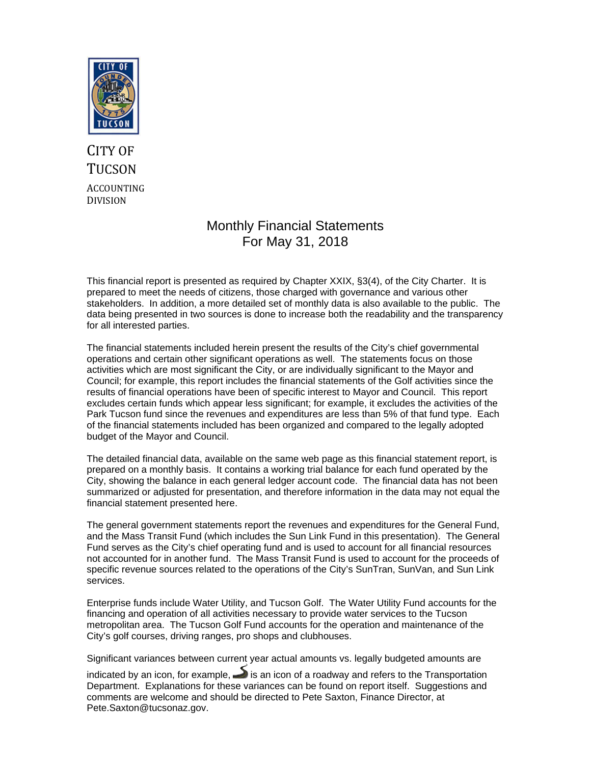

### CITY OF **TUCSON** ACCOUNTING DIVISION

#### Monthly Financial Statements For May 31, 2018

This financial report is presented as required by Chapter XXIX, §3(4), of the City Charter. It is prepared to meet the needs of citizens, those charged with governance and various other stakeholders. In addition, a more detailed set of monthly data is also available to the public. The data being presented in two sources is done to increase both the readability and the transparency for all interested parties.

The financial statements included herein present the results of the City's chief governmental operations and certain other significant operations as well. The statements focus on those activities which are most significant the City, or are individually significant to the Mayor and Council; for example, this report includes the financial statements of the Golf activities since the results of financial operations have been of specific interest to Mayor and Council. This report excludes certain funds which appear less significant; for example, it excludes the activities of the Park Tucson fund since the revenues and expenditures are less than 5% of that fund type. Each of the financial statements included has been organized and compared to the legally adopted budget of the Mayor and Council.

The detailed financial data, available on the same web page as this financial statement report, is prepared on a monthly basis. It contains a working trial balance for each fund operated by the City, showing the balance in each general ledger account code. The financial data has not been summarized or adjusted for presentation, and therefore information in the data may not equal the financial statement presented here.

The general government statements report the revenues and expenditures for the General Fund, and the Mass Transit Fund (which includes the Sun Link Fund in this presentation). The General Fund serves as the City's chief operating fund and is used to account for all financial resources not accounted for in another fund. The Mass Transit Fund is used to account for the proceeds of specific revenue sources related to the operations of the City's SunTran, SunVan, and Sun Link services.

Enterprise funds include Water Utility, and Tucson Golf. The Water Utility Fund accounts for the financing and operation of all activities necessary to provide water services to the Tucson metropolitan area. The Tucson Golf Fund accounts for the operation and maintenance of the City's golf courses, driving ranges, pro shops and clubhouses.

Significant variances between current year actual amounts vs. legally budgeted amounts are

indicated by an icon, for example,  $\rightarrow$  is an icon of a roadway and refers to the Transportation Department. Explanations for these variances can be found on report itself. Suggestions and comments are welcome and should be directed to Pete Saxton, Finance Director, at Pete.Saxton@tucsonaz.gov.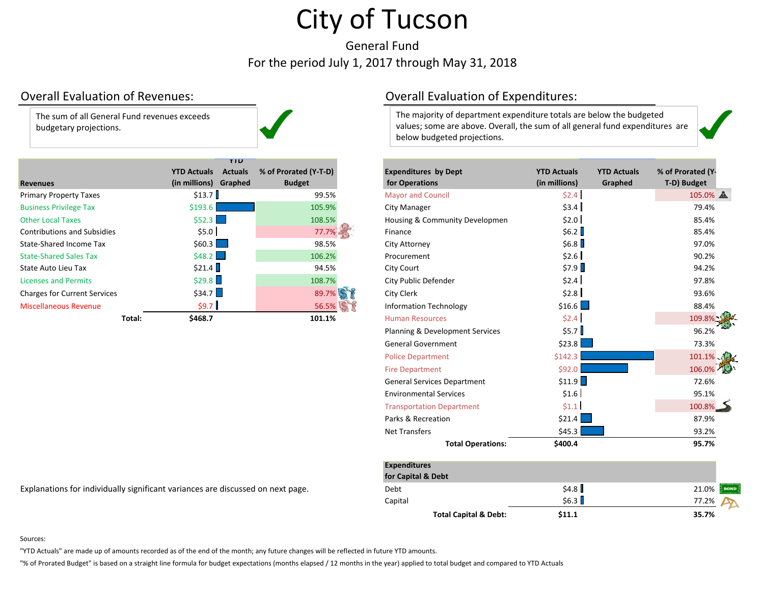General FundFor the period July 1, 2017 through May 31, 2018

#### Overall Evaluation

The sum of all General Fund revenues exceeds budgetary projections.

|                                     | YIU                                  |                       |                                |                    |                    |                  |
|-------------------------------------|--------------------------------------|-----------------------|--------------------------------|--------------------|--------------------|------------------|
|                                     | <b>YTD Actuals</b><br><b>Actuals</b> | % of Prorated (Y-T-D) | <b>Expenditures by Dept</b>    | <b>YTD Actuals</b> | <b>YTD Actuals</b> | % of Prorated (Y |
| <b>Revenues</b>                     | (in millions) Graphed                | <b>Budget</b>         | for Operations                 | (in millions)      | Graphed            | T-D) Budget      |
| <b>Primary Property Taxes</b>       | \$13.7                               | 99.5%                 | <b>Mayor and Council</b>       | \$2.4\$            |                    | 105.0%           |
| <b>Business Privilege Tax</b>       | \$193.6                              | 105.9%                | City Manager                   | \$3.4              |                    | 79.4%            |
| <b>Other Local Taxes</b>            | \$52.3                               | 108.5%                | Housing & Community Developmen | \$2.0              |                    | 85.4%            |
| <b>Contributions and Subsidies</b>  | \$5.0                                | 77.7%                 | Finance                        | \$6.2              |                    | 85.4%            |
| State-Shared Income Tax             | $$60.3$ $\Box$                       | 98.5%                 | City Attorney                  | \$6.8              |                    | 97.0%            |
| <b>State-Shared Sales Tax</b>       | \$48.2                               | 106.2%                | Procurement                    | \$2.6]             |                    | 90.2%            |
| State Auto Lieu Tax                 | \$21.4                               | 94.5%                 | City Court                     | \$7.9              |                    | 94.2%            |
| <b>Licenses and Permits</b>         | \$29.8                               | 108.7%                | City Public Defender           | \$2.4              |                    | 97.8%            |
| <b>Charges for Current Services</b> | \$34.7                               | 89.7%                 | City Clerk                     | \$2.8              |                    | 93.6%            |
| <b>Miscellaneous Revenue</b>        | \$9.7                                | 56.5% \$              | <b>Information Technology</b>  | \$16.6             |                    | 88.4%            |
| Total:                              | \$468.7                              | 101.1%                | <b>Human Resources</b>         | \$2.4              |                    | 109.8%           |

Overall Evaluation of Expenditures:

The majority of department expenditure totals are below the budgeted values; some are above. Overall, the sum of all general fund expenditures are below budgeted projections.

| nues                                                                        | <b>YTD Actuals</b><br>(in millions) Graphed | <b>Actuals</b> | % of Prorated (Y-T-D)<br><b>Budget</b> |                      | <b>Expenditures by Dept</b><br>for Operations | <b>YTD Actuals</b><br>(in millions) | <b>YTD Actuals</b><br>Graphed | % of Prorated (Y-<br>T-D) Budget |
|-----------------------------------------------------------------------------|---------------------------------------------|----------------|----------------------------------------|----------------------|-----------------------------------------------|-------------------------------------|-------------------------------|----------------------------------|
| ary Property Taxes                                                          | \$13.7                                      |                | 99.5%                                  |                      | <b>Mayor and Council</b>                      | \$2.4                               |                               | 105.0%                           |
| <b>ness Privilege Tax</b>                                                   | \$193.6                                     |                | 105.9%                                 | <b>City Manager</b>  |                                               | \$3.4                               |                               | 79.4%                            |
| r Local Taxes                                                               | \$52.3                                      | $\sim$         | 108.5%                                 |                      | Housing & Community Developmen                | \$2.0                               |                               | 85.4%                            |
| ributions and Subsidies                                                     | \$5.0                                       |                | 77.7%                                  | Finance              |                                               | \$6.2                               |                               | 85.4%                            |
| -Shared Income Tax                                                          | $$60.3$ $\Box$                              |                | 98.5%                                  | <b>City Attorney</b> |                                               | \$6.8                               |                               | 97.0%                            |
| -Shared Sales Tax                                                           | \$48.2                                      |                | 106.2%                                 | Procurement          |                                               | \$2.6]                              |                               | 90.2%                            |
| Auto Lieu Tax                                                               | \$21.4                                      |                | 94.5%                                  | City Court           |                                               | \$7.9                               |                               | 94.2%                            |
| ses and Permits                                                             | \$29.8                                      |                | 108.7%                                 |                      | City Public Defender                          | \$2.4]                              |                               | 97.8%                            |
| ges for Current Services                                                    | \$34.7                                      |                | 89.7%                                  | City Clerk           |                                               | \$2.8]                              |                               | 93.6%                            |
| ellaneous Revenue                                                           | \$9.7                                       |                | 56.5%                                  |                      | <b>Information Technology</b>                 | \$16.6                              |                               | 88.4%                            |
| Total:                                                                      | \$468.7                                     |                | 101.1%                                 |                      | <b>Human Resources</b>                        | \$2.4]                              |                               | 109.8%                           |
|                                                                             |                                             |                |                                        |                      | Planning & Development Services               | \$5.7                               |                               | 96.2%                            |
|                                                                             |                                             |                |                                        |                      | <b>General Government</b>                     | $$23.8$ $\Box$                      |                               | 73.3%                            |
|                                                                             |                                             |                |                                        |                      | <b>Police Department</b>                      | \$142.3                             |                               | $101.1\%$                        |
|                                                                             |                                             |                |                                        |                      | <b>Fire Department</b>                        | \$92.0                              |                               | 106.0%                           |
|                                                                             |                                             |                |                                        |                      | <b>General Services Department</b>            | \$11.9                              |                               | 72.6%                            |
|                                                                             |                                             |                |                                        |                      | <b>Environmental Services</b>                 | \$1.6                               |                               | 95.1%                            |
|                                                                             |                                             |                |                                        |                      | <b>Transportation Department</b>              | \$1.1                               |                               | $100.8\%$                        |
|                                                                             |                                             |                |                                        |                      | Parks & Recreation                            | $$21.4$ $\Box$                      |                               | 87.9%                            |
|                                                                             |                                             |                |                                        | <b>Net Transfers</b> |                                               | \$45.3                              |                               | 93.2%                            |
|                                                                             |                                             |                |                                        |                      | <b>Total Operations:</b>                      | \$400.4                             |                               | 95.7%                            |
|                                                                             |                                             |                |                                        | <b>Expenditures</b>  | for Capital & Debt                            |                                     |                               |                                  |
| anations for individually significant variances are discussed on next page. |                                             |                |                                        | Debt                 |                                               | \$4.8                               |                               | <b>BON</b><br>21.0%              |
|                                                                             |                                             |                |                                        | Capital              |                                               | \$6.3                               |                               | 77.2%                            |
|                                                                             |                                             |                |                                        |                      | <b>Total Capital &amp; Debt:</b>              | \$11.1                              |                               | 35.7%                            |

Explanations for individually significant variances are discussed on next page.

#### Sources:

"YTD Actuals" are made up of amounts recorded as of the end of the month; any future changes will be reflected in future YTD amounts.

"% of Prorated Budget" is based on <sup>a</sup> straight line formula for budget expectations (months elapsed / 12 months in the year) applied to total budget and compared to YTD Actuals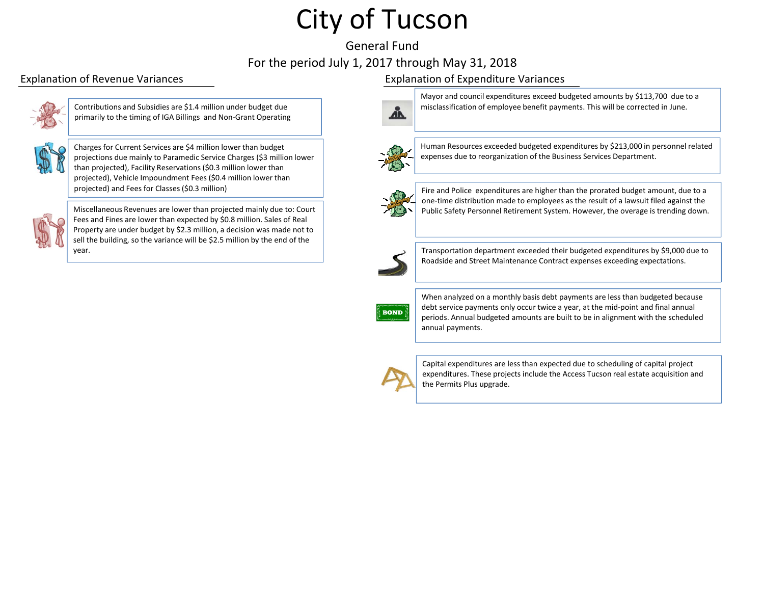#### General FundFor the period July 1, 2017 through May 31, 2018



Contributions and Subsidies are \$1.4 million under budget due primarily to the timing of IGA Billings and Non‐Grant Operating



Charges for Current Services are \$4 million lower than budget projections due mainly to Paramedic Service Charges (\$3 million lower than projected), Facility Reservations (\$0.3 million lower than projected), Vehicle Impoundment Fees (\$0.4 million lower than projected) and Fees for Classes (\$0.3 million)



Miscellaneous Revenues are lower than projected mainly due to: Court Fees and Fines are lower than expected by \$0.8 million. Sales of Real Property are under budget by \$2.3 million, <sup>a</sup> decision was made not to sell the building, so the variance will be \$2.5 million by the end of the year.

#### Explanation of Revenue Variances Explanation of Expenditure Variances



Mayor and council expenditures exceed budgeted amounts by \$113,700 due to <sup>a</sup> misclassification of employee benefit payments. This will be corrected in June.



Human Resources exceeded budgeted expenditures by \$213,000 in personnel related expenses due to reorganization of the Business Services Department.



Fire and Police expenditures are higher than the prorated budget amount, due to <sup>a</sup> one‐time distribution made to employees as the result of <sup>a</sup> lawsuit filed against the Public Safety Personnel Retirement System. However, the overage is trending down.



Transportation department exceeded their budgeted expenditures by \$9,000 due to Roadside and Street Maintenance Contract expenses exceeding expectations.



When analyzed on <sup>a</sup> monthly basis debt payments are less than budgeted because debt service payments only occur twice <sup>a</sup> year, at the mid‐point and final annual periods. Annual budgeted amounts are built to be in alignment with the scheduled annual payments.



Capital expenditures are less than expected due to scheduling of capital project expenditures. These projects include the Access Tucson real estate acquisition and the Permits Plus upgrade.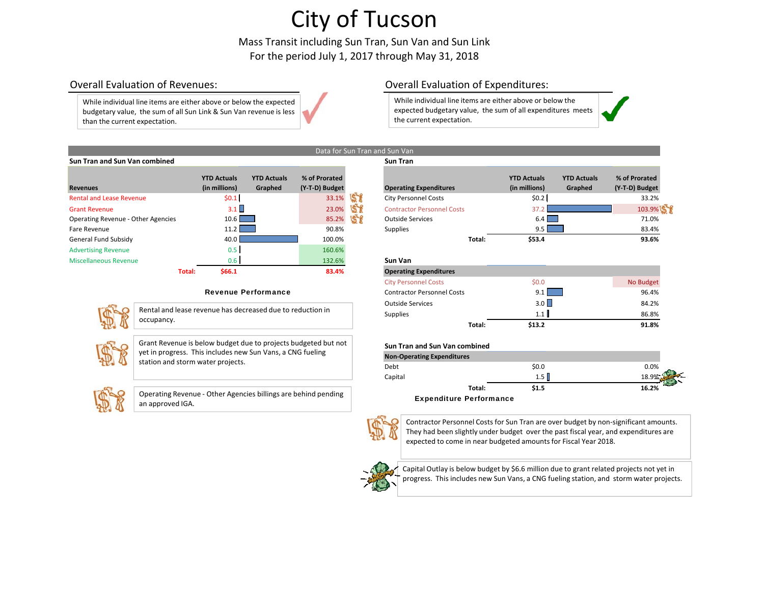Mass Transit including Sun Tran, Sun Van and Sun Link For the period July 1, 2017 through May 31, 2018

Data for Sun Tran and Sun Van

#### Overall Evaluation

While individual line items are either above or below the expected budgetary value, the sum of all Sun Link & Sun Van revenue is less than the current expectation.

#### Overall Evaluation of Expenditures:

While individual line items are either above or below the expected budgetary value, the sum of all expenditures meets the current expectation.



| Sun Tran and Sun Van combined |                    |                    |                | <b>Sun Tran</b> |
|-------------------------------|--------------------|--------------------|----------------|-----------------|
|                               |                    |                    |                |                 |
|                               | <b>YTD Actuals</b> | <b>YTD Actuals</b> | % of Prorated  |                 |
| <b>Revenues</b>               | (in millions)      | Graphed            | (Y-T-D) Budget | Operating       |

| <b>Revenues</b>                           | <b>YTD Actuals</b><br>(in millions) | <b>YTD Actuals</b><br>Graphed | % of Prorated<br>(Y-T-D) Budget | <b>Operating Expenditures</b>  |
|-------------------------------------------|-------------------------------------|-------------------------------|---------------------------------|--------------------------------|
| <b>Rental and Lease Revenue</b>           | \$0.1                               |                               | 33.1%                           | <b>City Personnel Costs</b>    |
| <b>Grant Revenue</b>                      | 3.1                                 |                               | 23.0%                           | <b>Contractor Personnel Co</b> |
| <b>Operating Revenue - Other Agencies</b> | 10.6                                |                               | 85.2%                           | <b>Outside Services</b>        |
| Fare Revenue                              | 11.2                                |                               | 90.8%                           | <b>Supplies</b>                |
| General Fund Subsidy                      | 40.0                                |                               | 100.0%                          |                                |
| <b>Advertising Revenue</b>                | 0.5                                 |                               | 160.6%                          |                                |
| <b>Miscellaneous Revenue</b>              | 0.6                                 |                               | 132.6%                          | Sun Van                        |
| Total:                                    | \$66.1                              |                               | 83.4%                           | <b>Operating Expenditures</b>  |

#### Revenue Performance



Rental and lease revenue has decreased due to reduction in occupancy.



Grant Revenue is below budget due to projects budgeted but not yet in progress. This includes new Sun Vans, <sup>a</sup> CNG fueling station and storm water projects.



Operating Revenue ‐ Other Agencies billings are behind pending an approved IGA.

| <b>Revenues</b>                                                      | <b>YTD Actuals</b><br>(in millions) | <b>YTD Actuals</b><br>Graphed | % of Prorated<br>(Y-T-D) Budget |    | <b>Operating Expenditures</b>     |        | <b>YTD Actuals</b><br>(in millions) | <b>YTD Actuals</b><br>Graphed | % of Prorated<br>(Y-T-D) Budget |
|----------------------------------------------------------------------|-------------------------------------|-------------------------------|---------------------------------|----|-----------------------------------|--------|-------------------------------------|-------------------------------|---------------------------------|
| <b>Rental and Lease Revenue</b>                                      | \$0.1                               |                               | 33.1%                           | 58 | <b>City Personnel Costs</b>       |        | \$0.2                               |                               | 33.2%                           |
| <b>Grant Revenue</b>                                                 | $3.1 \square$                       |                               | 23.0%                           | 51 | <b>Contractor Personnel Costs</b> |        | 37.                                 |                               | 103.9%                          |
| <b>Operating Revenue - Other Agencies</b>                            | 10.6                                |                               | 85.2%                           |    | <b>Outside Services</b>           |        | $6.4$                               |                               | 71.0%                           |
| Fare Revenue                                                         | 11.2                                |                               | 90.8%                           |    | <b>Supplies</b>                   |        | $9.5 \parallel$                     |                               | 83.4%                           |
| General Fund Subsidy                                                 | 40.0                                |                               | 100.0%                          |    |                                   | Total: | \$53.4                              |                               | 93.6%                           |
| <b>Advertising Revenue</b>                                           | 0.5                                 |                               | 160.6%                          |    |                                   |        |                                     |                               |                                 |
| Miscellaneous Revenue                                                | 0.6                                 |                               | 132.6%                          |    | Sun Van                           |        |                                     |                               |                                 |
| Total:                                                               | \$66.1                              |                               | 83.4%                           |    | <b>Operating Expenditures</b>     |        |                                     |                               |                                 |
|                                                                      |                                     |                               |                                 |    | <b>City Personnel Costs</b>       |        | \$0.0\$                             |                               | No Budget                       |
|                                                                      |                                     | <b>Revenue Performance</b>    |                                 |    | <b>Contractor Personnel Costs</b> |        | 9.1                                 |                               | 96.4%                           |
| $-520$<br>Bental and lease revenue has deeressed due to reduction in |                                     |                               |                                 |    | <b>Outside Services</b>           |        | $3.0+$                              |                               | 84.2%                           |

Supplies  $1.1$   $\blacksquare$   $1.5$   $\blacksquare$ 

| <b>Non-Operating Expenditures</b>   |       |                         |
|-------------------------------------|-------|-------------------------|
| Debt                                | \$0.0 | 0.0%                    |
| Capital                             | 1.5   | 18.9%                   |
| Total:                              | \$1.5 | <b>PARTIES</b><br>16.2% |
| <br>$\overline{\phantom{a}}$<br>- - |       |                         |

**Total: \$13.2 91.8%**

#### Expenditure Performance



Contractor Personnel Costs for Sun Tran are over budget by non‐significant amounts. They had been slightly under budget over the past fiscal year, and expenditures are expected to come in near budgeted amounts for Fiscal Year 2018.



Capital Outlay is below budget by \$6.6 million due to grant related projects not yet in progress. This includes new Sun Vans, <sup>a</sup> CNG fueling station, and storm water projects.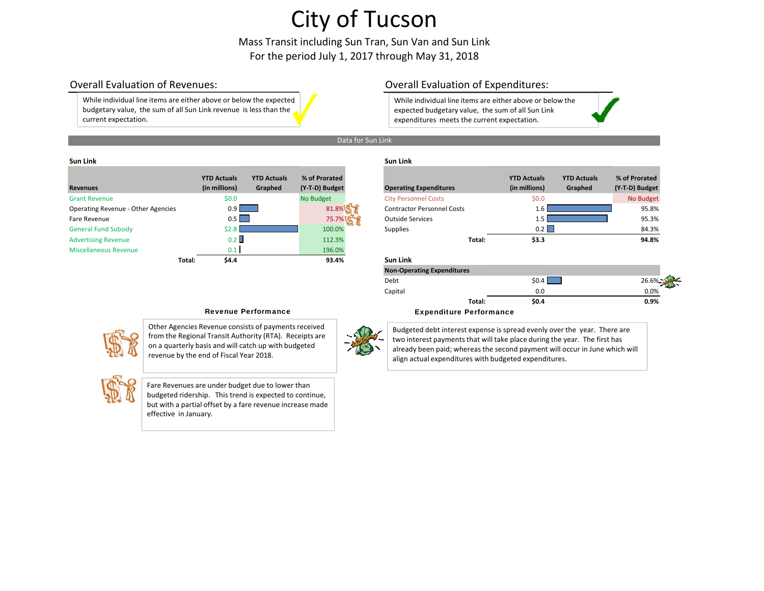Mass Transit including Sun Tran, Sun Van and Sun Link For the period July 1, 2017 through May 31, 2018

#### Overall Evaluation

While individual line items are either above or below the expected budgetary value, the sum of all Sun Link revenue is less than the current expectation.

#### Overall Evaluation of Expenditures:

While individual line items are either above or below the expected budgetary value, the sum of all Sun Link expenditures meets the current expectation.

#### Data for Sun Link

#### **SunLink Sun Link**

| <b>Revenues</b>                    |        | <b>YTD Actuals</b><br>(in millions) | <b>YTD Actuals</b><br>Graphed | % of Prorated<br>(Y-T-D) Budget | <b>Operating Expenditures</b>     |        | <b>YTD Actuals</b><br>(in millions) | <b>YTD Actuals</b><br>Graphed | % of Prorated<br>(Y-T-D) Budget |
|------------------------------------|--------|-------------------------------------|-------------------------------|---------------------------------|-----------------------------------|--------|-------------------------------------|-------------------------------|---------------------------------|
| <b>Grant Revenue</b>               |        | \$0.0\$                             |                               | No Budget                       | <b>City Personnel Costs</b>       |        | \$0.0                               |                               | No Budget                       |
| Operating Revenue - Other Agencies |        | 0.9                                 |                               | 81.8%                           | <b>Contractor Personnel Costs</b> |        | $1.6-1$                             |                               | 95.8%                           |
| Fare Revenue                       |        | 0.5                                 |                               | 75.7%                           | <b>Outside Services</b>           |        |                                     |                               | 95.3%                           |
| <b>General Fund Subsidy</b>        |        | \$2.8                               |                               | 100.0%                          | Supplies                          |        | 0.2                                 |                               | 84.3%                           |
| <b>Advertising Revenue</b>         |        | $0.2$ II                            |                               | 112.3%                          |                                   | Total: | \$3.3                               |                               | 94.8%                           |
| <b>Miscellaneous Revenue</b>       |        | 0.1                                 |                               | 196.0%                          |                                   |        |                                     |                               |                                 |
|                                    | Total: | \$4.4                               |                               | 93.4%                           | Sun Link                          |        |                                     |                               |                                 |

|                         | <b>YTD Actuals</b> | <b>YTD Actuals</b> | % of Prorated  |                                   | <b>YTD Actuals</b> | <b>YTD Actuals</b> | % of Prorated  |
|-------------------------|--------------------|--------------------|----------------|-----------------------------------|--------------------|--------------------|----------------|
|                         | (in millions)      | Graphed            | (Y-T-D) Budget | <b>Operating Expenditures</b>     | (in millions)      | Graphed            | (Y-T-D) Budget |
| <b>ue</b>               | \$0.0              |                    | No Budget      | <b>City Personnel Costs</b>       | \$0.0\$            |                    | No Budget      |
| evenue - Other Agencies | $0.9 \mid$         |                    | 81.8%          | <b>Contractor Personnel Costs</b> | 1.b                |                    | 95.8%          |
| e                       | $0.5 \mid$         |                    | 75.7%          | <b>Outside Services</b>           |                    |                    | 95.3%          |
| d Subsidy               |                    |                    | 100.0%         | <b>Supplies</b>                   | 0.2                |                    | 84.3%          |
| Revenue                 | 0.2                |                    | 112.3%         | Total:                            | \$3.3              |                    | 94.8%          |

#### **Total: \$4.4 93.4% Sun Link**

| <b>Non-Operating Expenditures</b> |        |         |       |
|-----------------------------------|--------|---------|-------|
| Debt                              |        | \$0.4\$ | 26.6% |
| Capital                           |        | 0.0     | 0.0%  |
|                                   | Total: | \$0.4\$ | 0.9%  |



Other Agencies Revenue consists of payments received from the Regional Transit Authority (RTA). Receipts are on <sup>a</sup> quarterly basis and will catch up with budgeted revenue by the end of Fiscal Year 2018.



Fare Revenues are under budget due to lower than budgeted ridership. This trend is expected to continue, but with <sup>a</sup> partial offset by <sup>a</sup> fare revenue increase made effective in January.



Revenue Performance **Expenditure Performance** 

Budgeted debt interest expense is spread evenly over the year. There are two interest payments that will take place during the year. The first has already been paid; whereas the second payment will occur in June which will align actual expenditures with budgeted expenditures.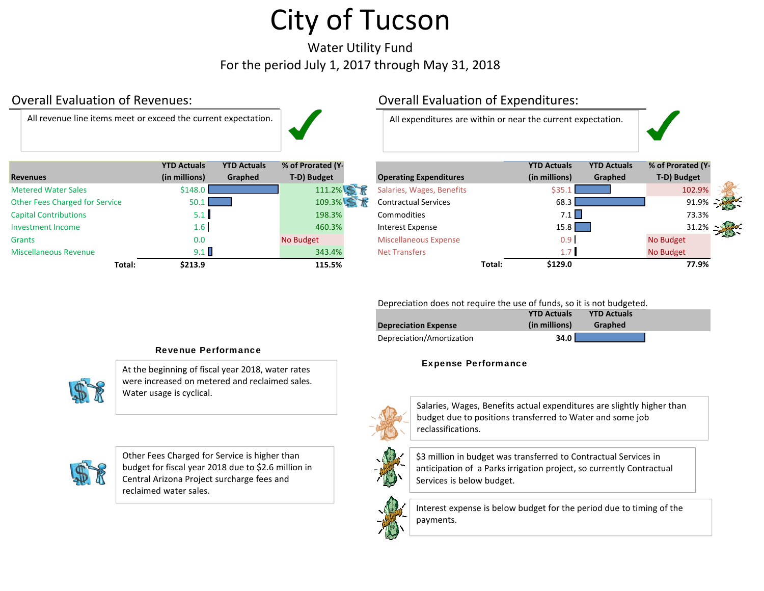Water Utility Fund For the period July 1, 2017 through May 31, 2018

## Overall Evaluation

All revenue



| <b>Revenues</b>                       | <b>YTD Actuals</b><br>(in millions) | <b>YTD Actuals</b><br>Graphed | % of Prorated (Y-<br>T-D) Budget | <b>Operating Expenditures</b> |        | <b>YTD Actuals</b><br>(in millions) | <b>YTD Actuals</b><br>Graphed | % of Prorated (Y<br>T-D) Budget |
|---------------------------------------|-------------------------------------|-------------------------------|----------------------------------|-------------------------------|--------|-------------------------------------|-------------------------------|---------------------------------|
| <b>Metered Water Sales</b>            | \$148.0                             |                               | 111.2%                           | Salaries, Wages, Benefits     |        | \$35                                |                               | 102.9%                          |
| <b>Other Fees Charged for Service</b> | $50.1$ $\blacksquare$               |                               | 109.3%                           | <b>Contractual Services</b>   |        | 68.3                                |                               | 91.9%                           |
| <b>Capital Contributions</b>          | 5.1                                 |                               | 198.3%                           | <b>Commodities</b>            |        | 7.1                                 |                               | 73.3%                           |
| Investment Income                     | 1.6 <sup>1</sup>                    |                               | 460.3%                           | Interest Expense              |        | 15.8                                |                               | 31.2%                           |
| <b>Grants</b>                         | 0.0                                 |                               | No Budget                        | <b>Miscellaneous Expense</b>  |        | 0.9 <sub>1</sub>                    |                               | No Budget                       |
| <b>Miscellaneous Revenue</b>          | 9.1                                 |                               | 343.4%                           | <b>Net Transfers</b>          |        | 1.7 <sub>l</sub>                    |                               | No Budget                       |
| Total:                                | \$213.9                             |                               | 115.5%                           |                               | Total: | \$129.0                             |                               | 77.9%                           |

## Overall Evaluation of Expenditures:

All expenditures are within or near the current expectation.

| es                      | <b>YTD Actuals</b><br>(in millions) | <b>YTD Actuals</b><br>Graphed | % of Prorated (Y-<br>T-D) Budget | <b>Operating Expenditures</b> |        | <b>YTD Actuals</b><br>(in millions) | <b>YTD Actuals</b><br>Graphed | % of Prorated (Y-<br>T-D) Budget |               |
|-------------------------|-------------------------------------|-------------------------------|----------------------------------|-------------------------------|--------|-------------------------------------|-------------------------------|----------------------------------|---------------|
| d Water Sales           | \$148.0                             |                               | 111.2%                           | Salaries, Wages, Benefits     |        |                                     |                               | 102.9%                           |               |
| ees Charged for Service | 50.1                                |                               | 109.3%                           | <b>Contractual Services</b>   |        | 68.3                                |                               |                                  | $91.9\% - 25$ |
| <b>Contributions</b>    | $5.1$ I                             |                               | 198.3%                           | <b>Commodities</b>            |        | $7.1$ $\Box$                        |                               | 73.3%                            |               |
| ent Income              | $1.6 \mid$                          |                               | 460.3%                           | Interest Expense              |        | 15.8                                |                               |                                  |               |
|                         | 0.0                                 |                               | No Budget                        | <b>Miscellaneous Expense</b>  |        | 0.9                                 |                               | No Budget                        |               |
| aneous Revenue          | 9.1                                 |                               | 343.4%                           | <b>Net Transfers</b>          |        |                                     |                               | No Budget                        |               |
| Total:                  | \$213.9                             |                               | 115.5%                           |                               | Total: | \$129.0                             |                               | 77.9%                            |               |

Depreciation does not require the use of funds, so it is not budgeted.

|                             | <b>YTD Actuals</b> | <b>YTD Actuals</b> |  |
|-----------------------------|--------------------|--------------------|--|
| <b>Depreciation Expense</b> | (in millions)      | Graphed            |  |
| Depreciation/Amortization   | 34.0               |                    |  |

#### Expense Performance



Salaries, Wages, Benefits actual expenditures are slightly higher than budget due to positions transferred to Water and some job reclassifications.



\$3 million in budget was transferred to Contractual Services in anticipation of <sup>a</sup> Parks irrigation project, so currently Contractual Services is below budget.



Interest expense is below budget for the period due to timing of the payments.

#### Revenue Performance

At the beginning of fiscal year 2018, water rates were increased on metered and reclaimed sales. Water usage is cyclical.



Other Fees Charged for Service is higher than budget for fiscal year 2018 due to \$2.6 million in Central Arizona Project surcharge fees and reclaimed water sales.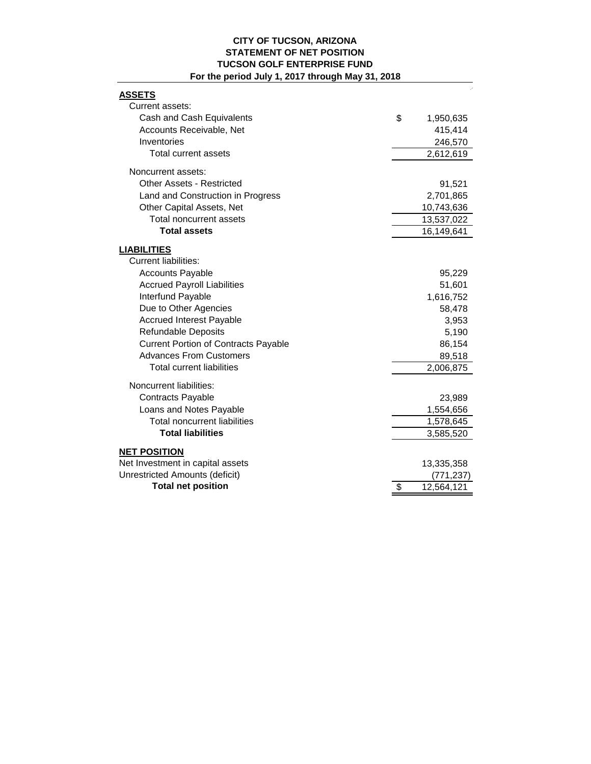#### **CITY OF TUCSON, ARIZONA STATEMENT OF NET POSITION TUCSON GOLF ENTERPRISE FUND For the period July 1, 2017 through May 31, 2018**

| <b>ASSETS</b><br>Current assets:                       |                  |
|--------------------------------------------------------|------------------|
| Cash and Cash Equivalents                              | \$<br>1,950,635  |
| Accounts Receivable, Net                               | 415,414          |
| Inventories                                            | 246,570          |
| Total current assets                                   | 2,612,619        |
| Noncurrent assets:                                     |                  |
| Other Assets - Restricted                              | 91,521           |
| Land and Construction in Progress                      | 2,701,865        |
| Other Capital Assets, Net<br>Total noncurrent assets   | 10,743,636       |
| <b>Total assets</b>                                    | 13,537,022       |
|                                                        | 16,149,641       |
| <b>LIABILITIES</b>                                     |                  |
| <b>Current liabilities:</b><br><b>Accounts Payable</b> |                  |
| <b>Accrued Payroll Liabilities</b>                     | 95,229<br>51,601 |
| Interfund Payable                                      | 1,616,752        |
| Due to Other Agencies                                  | 58,478           |
| <b>Accrued Interest Payable</b>                        | 3,953            |
| Refundable Deposits                                    | 5,190            |
| <b>Current Portion of Contracts Payable</b>            | 86,154           |
| <b>Advances From Customers</b>                         | 89,518           |
| <b>Total current liabilities</b>                       | 2,006,875        |
|                                                        |                  |
| Noncurrent liabilities:                                |                  |
| <b>Contracts Payable</b>                               | 23,989           |
| Loans and Notes Payable                                | 1,554,656        |
| <b>Total noncurrent liabilities</b>                    | 1,578,645        |
| <b>Total liabilities</b>                               | 3,585,520        |
| <b>NET POSITION</b>                                    |                  |
| Net Investment in capital assets                       | 13,335,358       |
| <b>Unrestricted Amounts (deficit)</b>                  | (771, 237)       |
| <b>Total net position</b>                              | \$<br>12,564,121 |